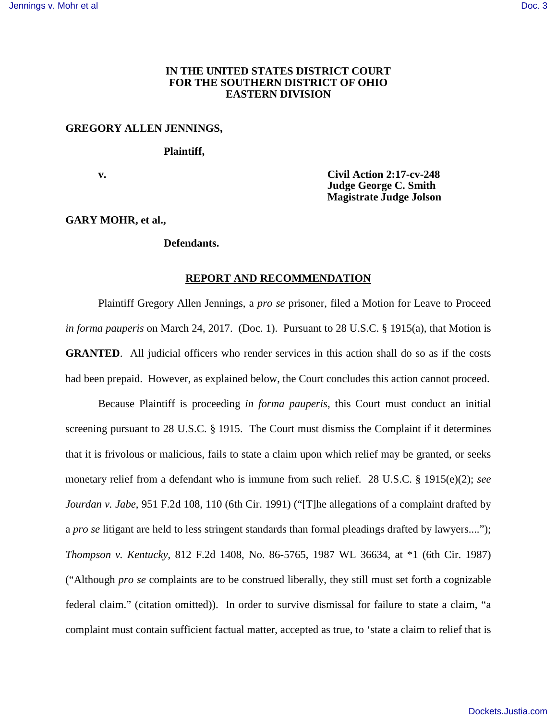## **IN THE UNITED STATES DISTRICT COURT FOR THE SOUTHERN DISTRICT OF OHIO EASTERN DIVISION**

## **GREGORY ALLEN JENNINGS,**

#### **Plaintiff,**

 **v. Civil Action 2:17-cv-248 Judge George C. Smith Magistrate Judge Jolson** 

# **GARY MOHR, et al.,**

## **Defendants.**

### **REPORT AND RECOMMENDATION**

Plaintiff Gregory Allen Jennings, a *pro se* prisoner, filed a Motion for Leave to Proceed *in forma pauperis* on March 24, 2017. (Doc. 1). Pursuant to 28 U.S.C. § 1915(a), that Motion is **GRANTED**. All judicial officers who render services in this action shall do so as if the costs had been prepaid. However, as explained below, the Court concludes this action cannot proceed.

Because Plaintiff is proceeding *in forma pauperis*, this Court must conduct an initial screening pursuant to 28 U.S.C. § 1915. The Court must dismiss the Complaint if it determines that it is frivolous or malicious, fails to state a claim upon which relief may be granted, or seeks monetary relief from a defendant who is immune from such relief. 28 U.S.C. § 1915(e)(2); *see Jourdan v. Jabe*[, 951 F.2d 108, 110 \(6th Cir. 1991\)](https://1.next.westlaw.com/Link/Document/FullText?findType=Y&serNum=1991203557&pubNum=0000350&originatingDoc=I70c5c010e3e611e69a9296e6a6f4a986&refType=RP&fi=co_pp_sp_350_110&originationContext=document&transitionType=DocumentItem&contextData=(sc.Search)#co_pp_sp_350_110) ("[T]he allegations of a complaint drafted by a *pro se* litigant are held to less stringent standards than formal pleadings drafted by lawyers...."); *Thompson v. Kentucky*[, 812 F.2d 1408, No. 86-5765, 1987 WL 36634, at \\*1 \(6th Cir. 1987\)](https://1.next.westlaw.com/Link/Document/FullText?findType=Y&serNum=1987028864&pubNum=0000350&originatingDoc=I70c5c010e3e611e69a9296e6a6f4a986&refType=RP&originationContext=document&transitionType=DocumentItem&contextData=(sc.Search)) ("Although *pro se* complaints are to be construed liberally, they still must set forth a cognizable federal claim." (citation omitted)). In order to survive dismissal for failure to state a claim, "a complaint must contain sufficient factual matter, accepted as true, to 'state a claim to relief that is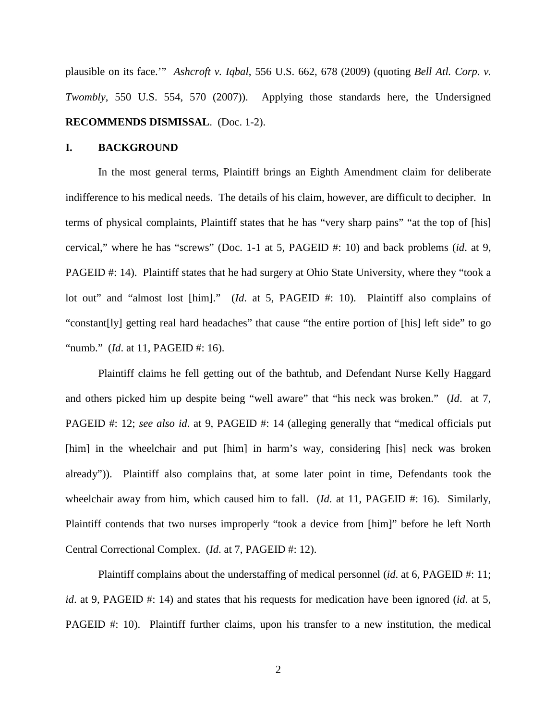plausible on its face.'" *Ashcroft v. Iqbal*[, 556 U.S. 662, 678 \(2009\)](https://1.next.westlaw.com/Link/Document/FullText?findType=Y&serNum=2018848474&pubNum=0000780&originatingDoc=I70c5c010e3e611e69a9296e6a6f4a986&refType=RP&fi=co_pp_sp_780_678&originationContext=document&transitionType=DocumentItem&contextData=(sc.Search)#co_pp_sp_780_678) (quoting *Bell Atl. Corp. v. Twombly*, 550 U.S. 554, 570 (2007)). Applying those standards here, the Undersigned **RECOMMENDS DISMISSAL**. (Doc. 1-2).

### **I. BACKGROUND**

In the most general terms, Plaintiff brings an Eighth Amendment claim for deliberate indifference to his medical needs. The details of his claim, however, are difficult to decipher. In terms of physical complaints, Plaintiff states that he has "very sharp pains" "at the top of [his] cervical," where he has "screws" (Doc. 1-1 at 5, PAGEID #: 10) and back problems (*id*. at 9, PAGEID #: 14). Plaintiff states that he had surgery at Ohio State University, where they "took a lot out" and "almost lost [him]." (*Id*. at 5, PAGEID #: 10). Plaintiff also complains of "constant[ly] getting real hard headaches" that cause "the entire portion of [his] left side" to go "numb." (*Id*. at 11, PAGEID #: 16).

Plaintiff claims he fell getting out of the bathtub, and Defendant Nurse Kelly Haggard and others picked him up despite being "well aware" that "his neck was broken." (*Id*. at 7, PAGEID #: 12; *see also id*. at 9, PAGEID #: 14 (alleging generally that "medical officials put [him] in the wheelchair and put [him] in harm's way, considering [his] neck was broken already")). Plaintiff also complains that, at some later point in time, Defendants took the wheelchair away from him, which caused him to fall. (*Id.* at 11, PAGEID #: 16). Similarly, Plaintiff contends that two nurses improperly "took a device from [him]" before he left North Central Correctional Complex. (*Id*. at 7, PAGEID #: 12).

Plaintiff complains about the understaffing of medical personnel (*id*. at 6, PAGEID #: 11; *id*. at 9, PAGEID #: 14) and states that his requests for medication have been ignored (*id*. at 5, PAGEID #: 10). Plaintiff further claims, upon his transfer to a new institution, the medical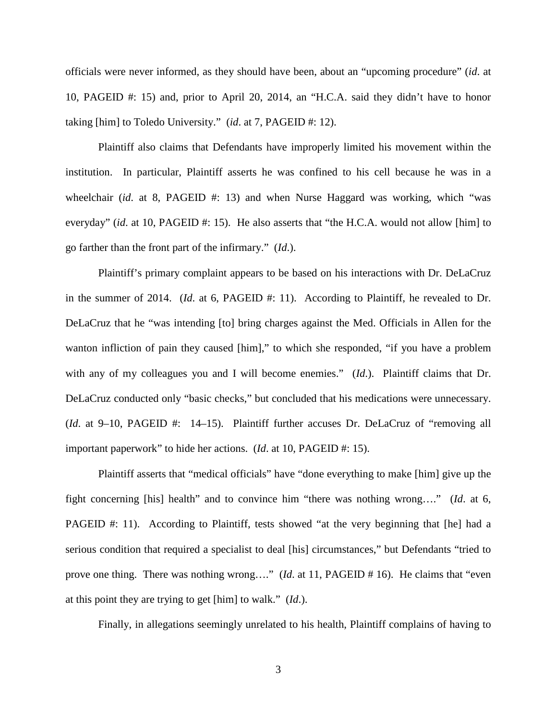officials were never informed, as they should have been, about an "upcoming procedure" (*id*. at 10, PAGEID #: 15) and, prior to April 20, 2014, an "H.C.A. said they didn't have to honor taking [him] to Toledo University." (*id*. at 7, PAGEID #: 12).

Plaintiff also claims that Defendants have improperly limited his movement within the institution. In particular, Plaintiff asserts he was confined to his cell because he was in a wheelchair (*id.* at 8, PAGEID #: 13) and when Nurse Haggard was working, which "was everyday" (*id.* at 10, PAGEID #: 15). He also asserts that "the H.C.A. would not allow [him] to go farther than the front part of the infirmary." (*Id*.).

Plaintiff's primary complaint appears to be based on his interactions with Dr. DeLaCruz in the summer of 2014. (*Id.* at 6, PAGEID #: 11). According to Plaintiff, he revealed to Dr. DeLaCruz that he "was intending [to] bring charges against the Med. Officials in Allen for the wanton infliction of pain they caused [him]," to which she responded, "if you have a problem with any of my colleagues you and I will become enemies." (*Id*.). Plaintiff claims that Dr. DeLaCruz conducted only "basic checks," but concluded that his medications were unnecessary. (*Id*. at 9–10, PAGEID #: 14–15). Plaintiff further accuses Dr. DeLaCruz of "removing all important paperwork" to hide her actions. (*Id*. at 10, PAGEID #: 15).

Plaintiff asserts that "medical officials" have "done everything to make [him] give up the fight concerning [his] health" and to convince him "there was nothing wrong…." (*Id*. at 6, PAGEID #: 11). According to Plaintiff, tests showed "at the very beginning that [he] had a serious condition that required a specialist to deal [his] circumstances," but Defendants "tried to prove one thing. There was nothing wrong…." (*Id*. at 11, PAGEID # 16). He claims that "even at this point they are trying to get [him] to walk." (*Id*.).

Finally, in allegations seemingly unrelated to his health, Plaintiff complains of having to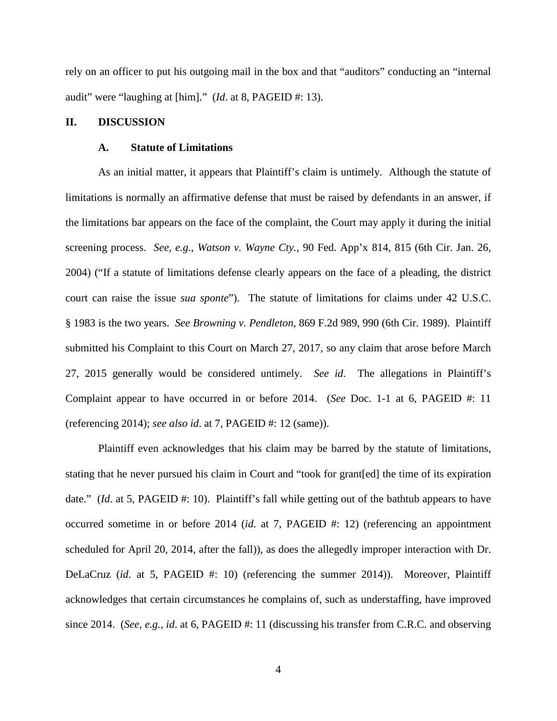rely on an officer to put his outgoing mail in the box and that "auditors" conducting an "internal audit" were "laughing at [him]." (*Id*. at 8, PAGEID #: 13).

# **II. DISCUSSION**

### **A. Statute of Limitations**

As an initial matter, it appears that Plaintiff's claim is untimely. Although the statute of limitations is normally an affirmative defense that must be raised by defendants in an answer, if the limitations bar appears on the face of the complaint, the Court may apply it during the initial screening process. *See, e.g.*, *Watson v. Wayne Cty.*[, 90 Fed. App'x 814, 815](https://1.next.westlaw.com/Link/Document/FullText?findType=Y&serNum=2004093189&pubNum=6538&originatingDoc=I307999796cc811e1b71fa7764cbfcb47&refType=RP&originationContext=document&transitionType=DocumentItem&contextData=(sc.UserEnteredCitation)) (6th Cir. Jan. 26, [2004\)](https://1.next.westlaw.com/Link/Document/FullText?findType=Y&serNum=2004093189&pubNum=6538&originatingDoc=I307999796cc811e1b71fa7764cbfcb47&refType=RP&originationContext=document&transitionType=DocumentItem&contextData=(sc.UserEnteredCitation)) ("If a statute of limitations defense clearly appears on the face of a pleading, the district court can raise the issue *sua sponte*"). The statute of limitations for claims under 42 U.S.C. § 1983 is the two years. *See [Browning v. Pendleton](https://1.next.westlaw.com/Link/Document/FullText?findType=Y&serNum=1989040433&pubNum=350&originatingDoc=I307999796cc811e1b71fa7764cbfcb47&refType=RP&originationContext=document&transitionType=DocumentItem&contextData=(sc.UserEnteredCitation))*, 869 F.2d 989, 990 (6th Cir. 1989). Plaintiff submitted his Complaint to this Court on March 27, 2017, so any claim that arose before March 27, 2015 generally would be considered untimely. *See id*. The allegations in Plaintiff's Complaint appear to have occurred in or before 2014. (*See* Doc. 1-1 at 6, PAGEID #: 11 (referencing 2014); *see also id*. at 7, PAGEID #: 12 (same)).

Plaintiff even acknowledges that his claim may be barred by the statute of limitations, stating that he never pursued his claim in Court and "took for grant[ed] the time of its expiration date." *(Id.* at 5, PAGEID #: 10). Plaintiff's fall while getting out of the bathtub appears to have occurred sometime in or before 2014 (*id*. at 7, PAGEID #: 12) (referencing an appointment scheduled for April 20, 2014, after the fall)), as does the allegedly improper interaction with Dr. DeLaCruz (*id*. at 5, PAGEID #: 10) (referencing the summer 2014)). Moreover, Plaintiff acknowledges that certain circumstances he complains of, such as understaffing, have improved since 2014. (*See, e.g.*, *id*. at 6, PAGEID #: 11 (discussing his transfer from C.R.C. and observing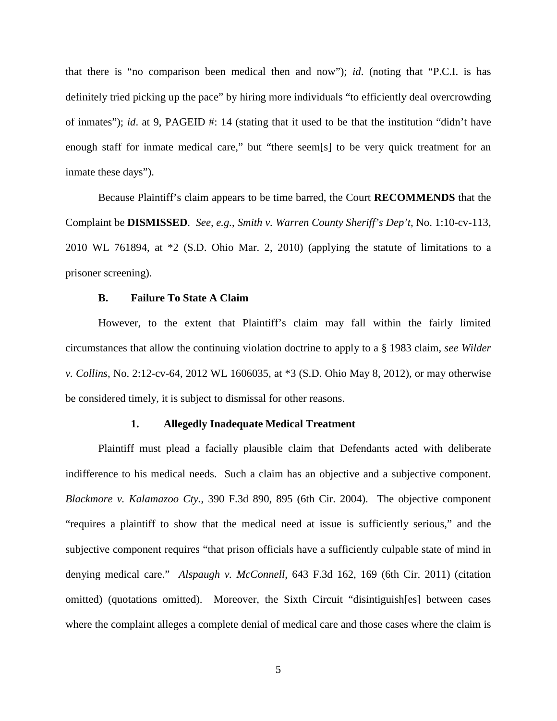that there is "no comparison been medical then and now"); *id*. (noting that "P.C.I. is has definitely tried picking up the pace" by hiring more individuals "to efficiently deal overcrowding of inmates"); *id.* at 9, PAGEID #: 14 (stating that it used to be that the institution "didn't have enough staff for inmate medical care," but "there seem[s] to be very quick treatment for an inmate these days").

Because Plaintiff's claim appears to be time barred, the Court **RECOMMENDS** that the Complaint be **DISMISSED**. *See, e.g.*, *[Smith v. Warren County Sheriff's Dep't](https://1.next.westlaw.com/Link/Document/FullText?findType=Y&serNum=2021490842&pubNum=0000999&originatingDoc=I307999796cc811e1b71fa7764cbfcb47&refType=RP&originationContext=document&transitionType=DocumentItem&contextData=(sc.UserEnteredCitation))*, No. 1:10-cv-113, 2010 WL 761894, at \*2 [\(S.D. Ohio Mar. 2, 2010\)](https://1.next.westlaw.com/Link/Document/FullText?findType=Y&serNum=2021490842&pubNum=0000999&originatingDoc=I307999796cc811e1b71fa7764cbfcb47&refType=RP&originationContext=document&transitionType=DocumentItem&contextData=(sc.UserEnteredCitation)) (applying the statute of limitations to a prisoner screening).

## **B. Failure To State A Claim**

However, to the extent that Plaintiff's claim may fall within the fairly limited circumstances that allow the continuing violation doctrine to apply to a § 1983 claim, *see Wilder v. Collins*, No. 2:12-cv-64, 2012 WL 1606035, at \*3 (S.D. Ohio May 8, 2012), or may otherwise be considered timely, it is subject to dismissal for other reasons.

### **1. Allegedly Inadequate Medical Treatment**

Plaintiff must plead a facially plausible claim that Defendants acted with deliberate indifference to his medical needs. Such a claim has an objective and a subjective component. *Blackmore v. Kalamazoo Cty.*, 390 F.3d 890, 895 (6th Cir. 2004). The objective component "requires a plaintiff to show that the medical need at issue is sufficiently serious," and the subjective component requires "that prison officials have a sufficiently culpable state of mind in denying medical care." *Alspaugh v. McConnell*, 643 F.3d 162, 169 (6th Cir. 2011) (citation omitted) (quotations omitted). Moreover, the Sixth Circuit "disintiguish[es] between cases where the complaint alleges a complete denial of medical care and those cases where the claim is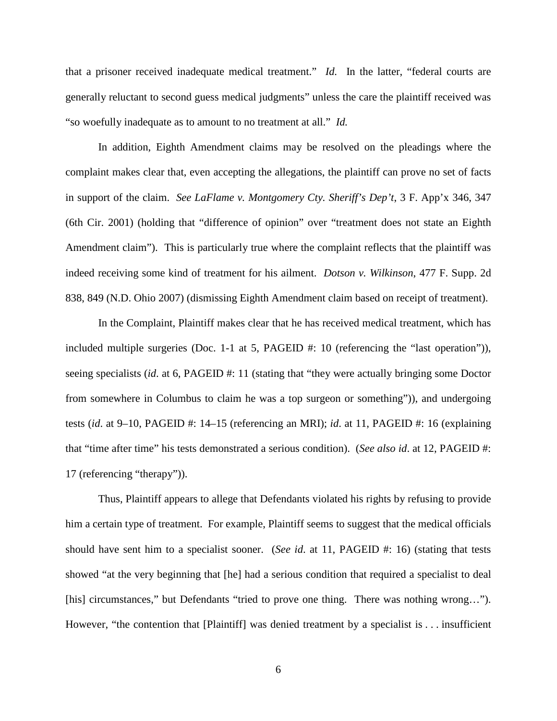that a prisoner received inadequate medical treatment." *Id.* In the latter, "federal courts are generally reluctant to second guess medical judgments" unless the care the plaintiff received was "so woefully inadequate as to amount to no treatment at all." *Id.*

In addition, Eighth Amendment claims may be resolved on the pleadings where the complaint makes clear that, even accepting the allegations, the plaintiff can prove no set of facts in support of the claim. *See LaFlame v. Montgomery Cty. Sheriff's Dep't*, 3 F. App'x 346, 347 (6th Cir. 2001) (holding that "difference of opinion" over "treatment does not state an Eighth Amendment claim"). This is particularly true where the complaint reflects that the plaintiff was indeed receiving some kind of treatment for his ailment. *Dotson v. Wilkinson*, 477 F. Supp. 2d 838, 849 (N.D. Ohio 2007) (dismissing Eighth Amendment claim based on receipt of treatment).

In the Complaint, Plaintiff makes clear that he has received medical treatment, which has included multiple surgeries (Doc. 1-1 at 5, PAGEID #: 10 (referencing the "last operation")), seeing specialists (*id.* at 6, PAGEID #: 11 (stating that "they were actually bringing some Doctor from somewhere in Columbus to claim he was a top surgeon or something")), and undergoing tests (*id*. at 9–10, PAGEID #: 14–15 (referencing an MRI); *id*. at 11, PAGEID #: 16 (explaining that "time after time" his tests demonstrated a serious condition). (*See also id*. at 12, PAGEID #: 17 (referencing "therapy")).

Thus, Plaintiff appears to allege that Defendants violated his rights by refusing to provide him a certain type of treatment. For example, Plaintiff seems to suggest that the medical officials should have sent him to a specialist sooner. (*See id*. at 11, PAGEID #: 16) (stating that tests showed "at the very beginning that [he] had a serious condition that required a specialist to deal [his] circumstances," but Defendants "tried to prove one thing. There was nothing wrong…"). However, "the contention that [Plaintiff] was denied treatment by a specialist is . . . insufficient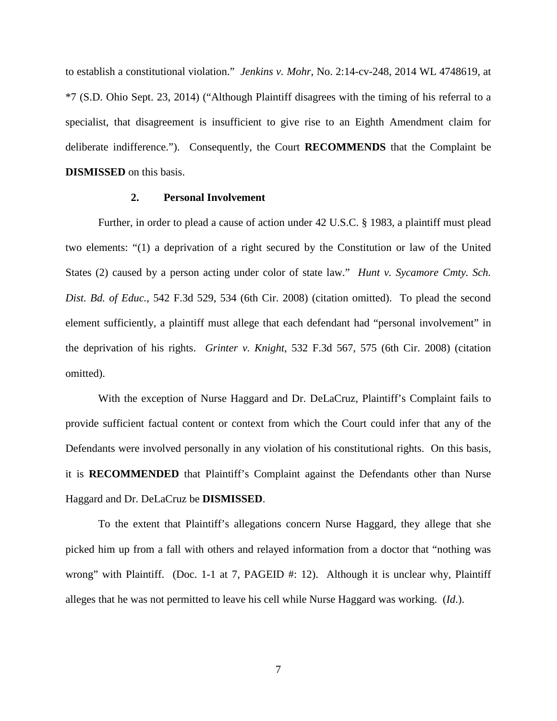to establish a constitutional violation." *Jenkins v. Mohr*, No. 2:14-cv-248, 2014 WL 4748619, at \*7 (S.D. Ohio Sept. 23, 2014) ("Although Plaintiff disagrees with the timing of his referral to a specialist, that disagreement is insufficient to give rise to an Eighth Amendment claim for deliberate indifference."). Consequently, the Court **RECOMMENDS** that the Complaint be **DISMISSED** on this basis.

## **2. Personal Involvement**

Further, in order to plead a cause of action under [42 U.S.C. § 1983,](https://1.next.westlaw.com/Link/Document/FullText?findType=L&pubNum=1000546&cite=42USCAS1983&originatingDoc=I40bfa0d0de2711e6ac07a76176915fee&refType=LQ&originationContext=document&transitionType=DocumentItem&contextData=(sc.Search)) a plaintiff must plead two elements: "(1) a deprivation of a right secured by the Constitution or law of the United States (2) caused by a person acting under color of state law." *[Hunt v. Sycamore Cmty. Sch.](https://1.next.westlaw.com/Link/Document/FullText?findType=Y&serNum=2016947635&pubNum=0000506&originatingDoc=I40bfa0d0de2711e6ac07a76176915fee&refType=RP&fi=co_pp_sp_506_534&originationContext=document&transitionType=DocumentItem&contextData=(sc.Search)#co_pp_sp_506_534)  Dist. Bd. of Educ.*[, 542 F.3d 529, 534 \(6th Cir. 2008\)](https://1.next.westlaw.com/Link/Document/FullText?findType=Y&serNum=2016947635&pubNum=0000506&originatingDoc=I40bfa0d0de2711e6ac07a76176915fee&refType=RP&fi=co_pp_sp_506_534&originationContext=document&transitionType=DocumentItem&contextData=(sc.Search)#co_pp_sp_506_534) (citation omitted). To plead the second element sufficiently, a plaintiff must allege that each defendant had "personal involvement" in the deprivation of his rights. *Grinter v. Knight*[, 532 F.3d 567, 575 \(6th Cir. 2008\)](https://1.next.westlaw.com/Link/Document/FullText?findType=Y&serNum=2016336270&pubNum=0000506&originatingDoc=I40bfa0d0de2711e6ac07a76176915fee&refType=RP&fi=co_pp_sp_506_575&originationContext=document&transitionType=DocumentItem&contextData=(sc.Search)#co_pp_sp_506_575) (citation omitted).

With the exception of Nurse Haggard and Dr. DeLaCruz, Plaintiff's Complaint fails to provide sufficient factual content or context from which the Court could infer that any of the Defendants were involved personally in any violation of his constitutional rights. On this basis, it is **RECOMMENDED** that Plaintiff's Complaint against the Defendants other than Nurse Haggard and Dr. DeLaCruz be **DISMISSED**.

To the extent that Plaintiff's allegations concern Nurse Haggard, they allege that she picked him up from a fall with others and relayed information from a doctor that "nothing was wrong" with Plaintiff. (Doc. 1-1 at 7, PAGEID #: 12). Although it is unclear why, Plaintiff alleges that he was not permitted to leave his cell while Nurse Haggard was working. (*Id*.).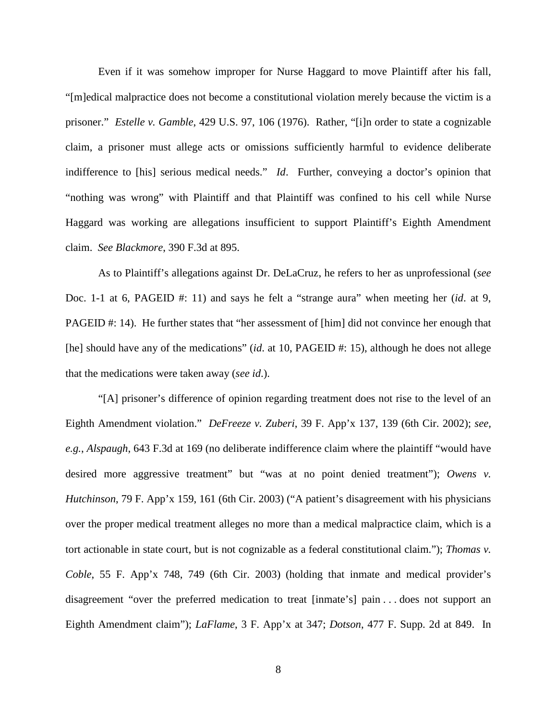Even if it was somehow improper for Nurse Haggard to move Plaintiff after his fall, "[m]edical malpractice does not become a constitutional violation merely because the victim is a prisoner." *Estelle v. Gamble*, 429 U.S. 97, 106 (1976). Rather, "[i]n order to state a cognizable claim, a prisoner must allege acts or omissions sufficiently harmful to evidence deliberate indifference to [his] serious medical needs." *Id*. Further, conveying a doctor's opinion that "nothing was wrong" with Plaintiff and that Plaintiff was confined to his cell while Nurse Haggard was working are allegations insufficient to support Plaintiff's Eighth Amendment claim. *See Blackmore*, 390 F.3d at 895.

As to Plaintiff's allegations against Dr. DeLaCruz, he refers to her as unprofessional (*see* Doc. 1-1 at 6, PAGEID #: 11) and says he felt a "strange aura" when meeting her (*id*. at 9, PAGEID #: 14). He further states that "her assessment of [him] did not convince her enough that [he] should have any of the medications" (*id*. at 10, PAGEID #: 15), although he does not allege that the medications were taken away (*see id*.).

"[A] prisoner's difference of opinion regarding treatment does not rise to the level of an Eighth Amendment violation." *DeFreeze v. Zuberi*, 39 F. App'x 137, 139 (6th Cir. 2002); *see, e.g.*, *Alspaugh*, 643 F.3d at 169 (no deliberate indifference claim where the plaintiff "would have desired more aggressive treatment" but "was at no point denied treatment"); Owens v. *Hutchinson*, 79 F. App'x 159, 161 (6th Cir. 2003) ("A patient's disagreement with his physicians over the proper medical treatment alleges no more than a medical malpractice claim, which is a tort actionable in state court, but is not cognizable as a federal constitutional claim."); *Thomas v. Coble*, 55 F. App'x 748, 749 (6th Cir. 2003) (holding that inmate and medical provider's disagreement "over the preferred medication to treat [inmate's] pain . . . does not support an Eighth Amendment claim"); *LaFlame*, 3 F. App'x at 347; *Dotson*, 477 F. Supp. 2d at 849. In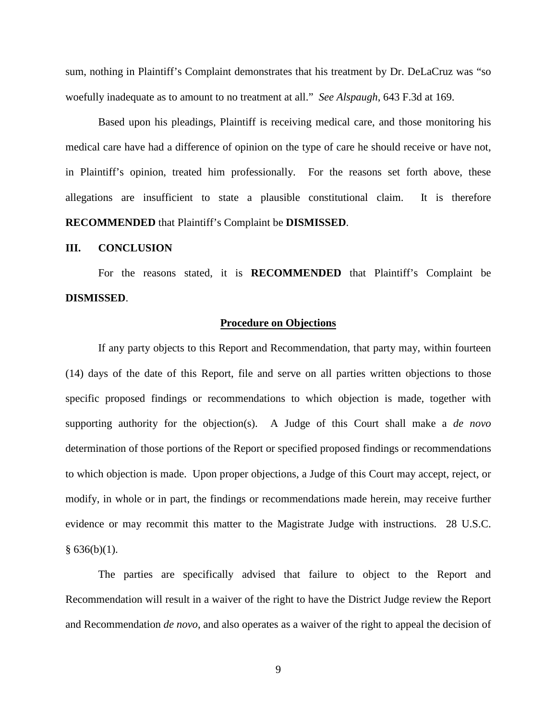sum, nothing in Plaintiff's Complaint demonstrates that his treatment by Dr. DeLaCruz was "so woefully inadequate as to amount to no treatment at all." *See Alspaugh*, 643 F.3d at 169.

Based upon his pleadings, Plaintiff is receiving medical care, and those monitoring his medical care have had a difference of opinion on the type of care he should receive or have not, in Plaintiff's opinion, treated him professionally. For the reasons set forth above, these allegations are insufficient to state a plausible constitutional claim. It is therefore **RECOMMENDED** that Plaintiff's Complaint be **DISMISSED**.

## **III. CONCLUSION**

For the reasons stated, it is **RECOMMENDED** that Plaintiff's Complaint be **DISMISSED**.

### **Procedure on Objections**

If any party objects to this Report and Recommendation, that party may, within fourteen (14) days of the date of this Report, file and serve on all parties written objections to those specific proposed findings or recommendations to which objection is made, together with supporting authority for the objection(s). A Judge of this Court shall make a *de novo* determination of those portions of the Report or specified proposed findings or recommendations to which objection is made. Upon proper objections, a Judge of this Court may accept, reject, or modify, in whole or in part, the findings or recommendations made herein, may receive further evidence or may recommit this matter to the Magistrate Judge with instructions. 28 U.S.C.  $§ 636(b)(1).$ 

The parties are specifically advised that failure to object to the Report and Recommendation will result in a waiver of the right to have the District Judge review the Report and Recommendation *de novo*, and also operates as a waiver of the right to appeal the decision of